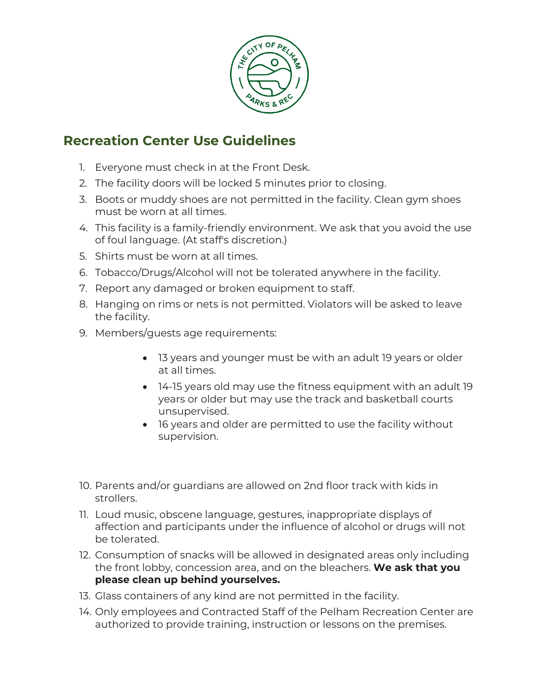

## **Recreation Center Use Guidelines**

- 1. Everyone must check in at the Front Desk.
- 2. The facility doors will be locked 5 minutes prior to closing.
- 3. Boots or muddy shoes are not permitted in the facility. Clean gym shoes must be worn at all times.
- 4. This facility is a family-friendly environment. We ask that you avoid the use of foul language. (At staff's discretion.)
- 5. Shirts must be worn at all times.
- 6. Tobacco/Drugs/Alcohol will not be tolerated anywhere in the facility.
- 7. Report any damaged or broken equipment to staff.
- 8. Hanging on rims or nets is not permitted. Violators will be asked to leave the facility.
- 9. Members/guests age requirements:
	- 13 years and younger must be with an adult 19 years or older at all times.
	- 14-15 years old may use the fitness equipment with an adult 19 years or older but may use the track and basketball courts unsupervised.
	- 16 years and older are permitted to use the facility without supervision.
- 10. Parents and/or guardians are allowed on 2nd floor track with kids in strollers.
- 11. Loud music, obscene language, gestures, inappropriate displays of affection and participants under the influence of alcohol or drugs will not be tolerated.
- 12. Consumption of snacks will be allowed in designated areas only including the front lobby, concession area, and on the bleachers. **We ask that you please clean up behind yourselves.**
- 13. Glass containers of any kind are not permitted in the facility.
- 14. Only employees and Contracted Staff of the Pelham Recreation Center are authorized to provide training, instruction or lessons on the premises.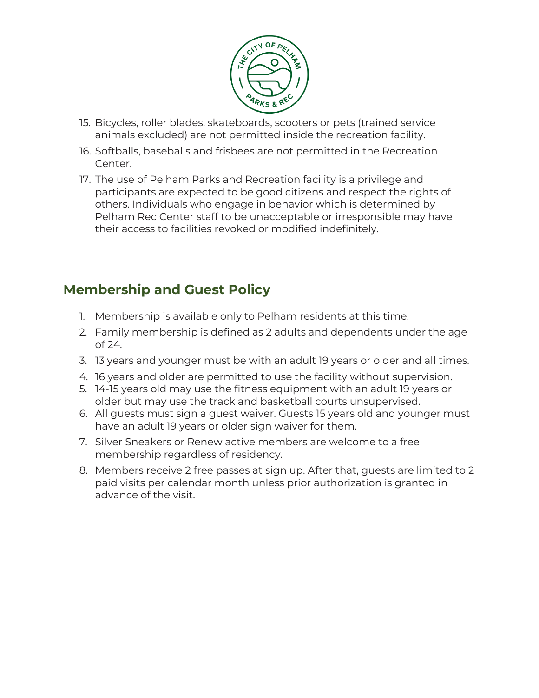

- 15. Bicycles, roller blades, skateboards, scooters or pets (trained service animals excluded) are not permitted inside the recreation facility.
- 16. Softballs, baseballs and frisbees are not permitted in the Recreation Center.
- 17. The use of Pelham Parks and Recreation facility is a privilege and participants are expected to be good citizens and respect the rights of others. Individuals who engage in behavior which is determined by Pelham Rec Center staff to be unacceptable or irresponsible may have their access to facilities revoked or modified indefinitely.

# **Membership and Guest Policy**

- 1. Membership is available only to Pelham residents at this time.
- 2. Family membership is defined as 2 adults and dependents under the age of 24.
- 3. 13 years and younger must be with an adult 19 years or older and all times.
- 4. 16 years and older are permitted to use the facility without supervision.
- 5. 14-15 years old may use the fitness equipment with an adult 19 years or older but may use the track and basketball courts unsupervised.
- 6. All guests must sign a guest waiver. Guests 15 years old and younger must have an adult 19 years or older sign waiver for them.
- 7. Silver Sneakers or Renew active members are welcome to a free membership regardless of residency.
- 8. Members receive 2 free passes at sign up. After that, guests are limited to 2 paid visits per calendar month unless prior authorization is granted in advance of the visit.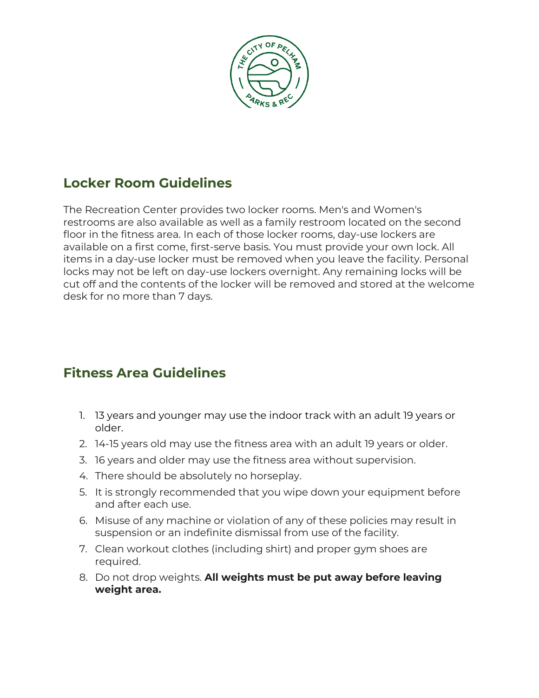

#### **Locker Room Guidelines**

The Recreation Center provides two locker rooms. Men's and Women's restrooms are also available as well as a family restroom located on the second floor in the fitness area. In each of those locker rooms, day-use lockers are available on a first come, first-serve basis. You must provide your own lock. All items in a day-use locker must be removed when you leave the facility. Personal locks may not be left on day-use lockers overnight. Any remaining locks will be cut off and the contents of the locker will be removed and stored at the welcome desk for no more than 7 days.

### **Fitness Area Guidelines**

- 1. 13 years and younger may use the indoor track with an adult 19 years or older.
- 2. 14-15 years old may use the fitness area with an adult 19 years or older.
- 3. 16 years and older may use the fitness area without supervision.
- 4. There should be absolutely no horseplay.
- 5. It is strongly recommended that you wipe down your equipment before and after each use.
- 6. Misuse of any machine or violation of any of these policies may result in suspension or an indefinite dismissal from use of the facility.
- 7. Clean workout clothes (including shirt) and proper gym shoes are required.
- 8. Do not drop weights. **All weights must be put away before leaving weight area.**